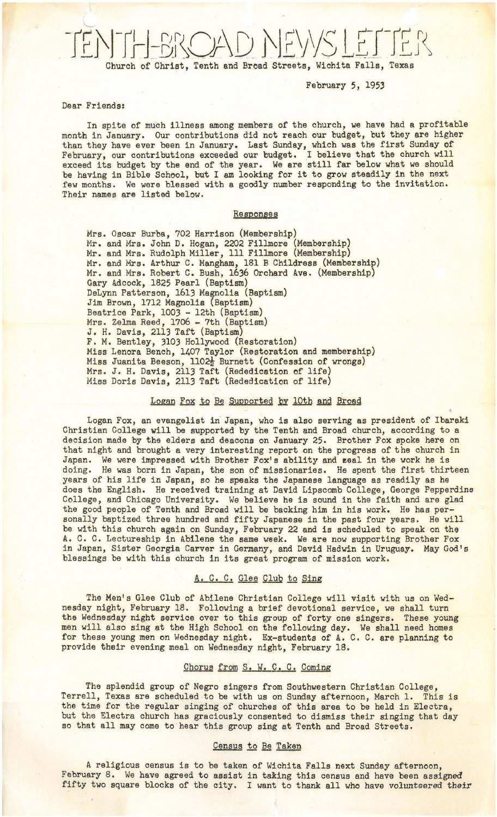February 5, 1953

### Dear Friends:

In spite of much illness among members of the church, we have had a profitable month in January. Our contributions did not reach our budget, but they are higher than they have ever been in January. Last Sunday, which was the first Sunday of February, our contributions exceeded our budget. I believe that the church will exceed its budget by the end of the year. We are still far below what we should be having in Bible School, but I am looking for it to grow steadily in the next few months. We were blessed with a goodly number responding to the invitation. Their names are listed below.

### Responses

Mrs. Oscar Burba, 702 Harrison (Membership) Mr. and Mrs. John D. Hogan, 2202 Fillmore (Membership) Mr. and Mrs. Rudolph Miller, 111 Fillmore (Membership) Mr. and Mrs. Arthur C. Mangham, 181 B Childress (Membership) Mr. and Mrs. Robert C. Bush, 1636 Orchard Ave. (Membership) Gary Adcock, 1825 Pearl (Baptism) DeLynn Patterson, 1613 Magnolia (Baptism) Jim Brown, 1712 Magnolis (Baptism) Beatrice Park, 1003 - 12th (Baptism) Mrs. Zelma Reed, 1706 - 7th (Baptism) J. H. Davis, 2113 Taft (Baptism) F. M. Bentley, 3103 Hollywood (Restoration) Miss Lenora Bench, 1407 Taylor (Restoration and membership) Miss Juanita Beeson, 1102<sup>1</sup> Burnett (Confession of wrongs) Mrs. J. H. Davis, 2113 Taft (Rededication of life) Miss Doris Davis, 2113 Taft (Rededication of life)

## Logan Fox to Be Supported by 10th and Broad

Logan Fox, an evangelist in Japan, who is also serving as president of Ibaraki Christian College will be supported by the Tenth and Broad church, according to a decision made by the elders and deacons on January 25. Brother Fox spoke here on that night and brought a very interesting report on the progress of the church in Japan. We were impressed with Brother Fox's ability and zeal in the work he is doing. He was born in Japan, the son of missionaries. He spent the first thirteen years of his life in Japan, so he speaks the Japanese language as readily as he does the English. He received training at David Lipscomb College, George Pepperdine College, and Chicago University. We believe he is sound in the faith and are glad the good people of Tenth and Broad will be backing him in his work. He has personally baptized three hundred and fifty Japanese in the past four years. He will be with this church again on Sunday, February 22 and is scheduled to speak on the A. C. C. Lectureship in Abilene the same week. We are now supporting Brother Fox in Japan, Sister Georgia Carver in Germany, and David Hadwin in Uruguay. May God's blessings be with this church in its great program of mission work.

### A. C. C. Glee Club to Sing

The Men's Glee Club of Abilene Christian College will visit with us on Wednesday night, February 18. Following a brief devotional service, we shall turn the Wednesday night service over to this group of forty one singers. These young men will also sing at the High School on the following day. We shall need homes for these young men on Wednesday night. Ex-students of A. C. C. are planning to provide their evening meal on Wednesday night, February 18.

### Chorus from S. W. C. C. Coming

The splendid group of Negro singers from Southwestern Christian College, Terrell, Texas are scheduled to be with us on Sunday afternoon, March 1. This is the time for the regular singing of churches of this area to be held in Electra, but the Electra church has graciously consented to dismiss their singing that day so that all may come to hear this group sing at Tenth and Broad Streets.

### Census to Be Taken

A religious census is to be taken of Wichita Falls next Sunday afternoon, February 8. We have agreed to assist in taking this census and have been assigned fifty two square blocks of the city. I want to thank all who have volunteered their